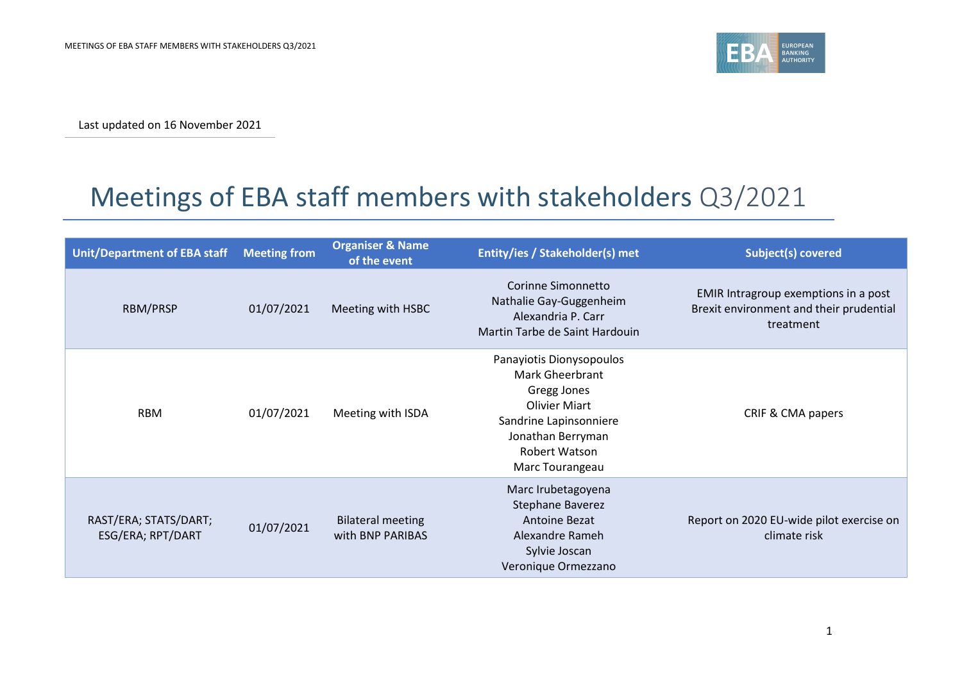

Last updated on 16 November 2021

## Meetings of EBA staff members with stakeholders Q3/2021

| <b>Unit/Department of EBA staff</b>        | <b>Meeting from</b> | <b>Organiser &amp; Name</b><br>of the event  | Entity/ies / Stakeholder(s) met                                                                                                                                              | <b>Subject(s) covered</b>                                                                    |
|--------------------------------------------|---------------------|----------------------------------------------|------------------------------------------------------------------------------------------------------------------------------------------------------------------------------|----------------------------------------------------------------------------------------------|
| RBM/PRSP                                   | 01/07/2021          | Meeting with HSBC                            | Corinne Simonnetto<br>Nathalie Gay-Guggenheim<br>Alexandria P. Carr<br>Martin Tarbe de Saint Hardouin                                                                        | EMIR Intragroup exemptions in a post<br>Brexit environment and their prudential<br>treatment |
| <b>RBM</b>                                 | 01/07/2021          | Meeting with ISDA                            | Panayiotis Dionysopoulos<br><b>Mark Gheerbrant</b><br>Gregg Jones<br><b>Olivier Miart</b><br>Sandrine Lapinsonniere<br>Jonathan Berryman<br>Robert Watson<br>Marc Tourangeau | CRIF & CMA papers                                                                            |
| RAST/ERA; STATS/DART;<br>ESG/ERA; RPT/DART | 01/07/2021          | <b>Bilateral meeting</b><br>with BNP PARIBAS | Marc Irubetagoyena<br>Stephane Baverez<br>Antoine Bezat<br>Alexandre Rameh<br>Sylvie Joscan<br>Veronique Ormezzano                                                           | Report on 2020 EU-wide pilot exercise on<br>climate risk                                     |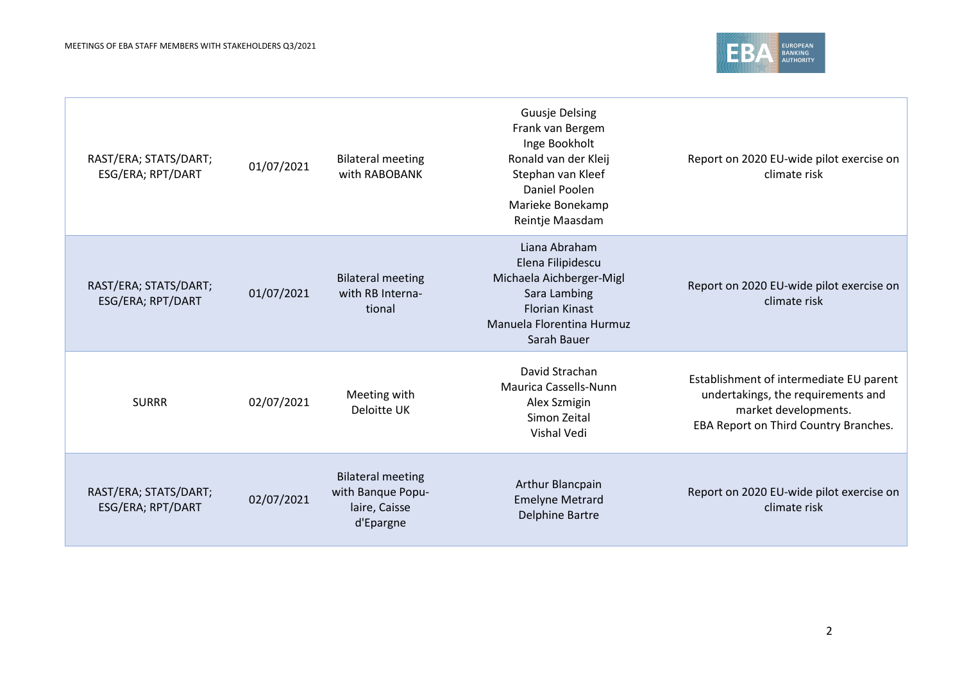

| RAST/ERA; STATS/DART;<br>ESG/ERA; RPT/DART | 01/07/2021 | <b>Bilateral meeting</b><br>with RABOBANK                                   | <b>Guusje Delsing</b><br>Frank van Bergem<br>Inge Bookholt<br>Ronald van der Kleij<br>Stephan van Kleef<br>Daniel Poolen<br>Marieke Bonekamp<br>Reintje Maasdam | Report on 2020 EU-wide pilot exercise on<br>climate risk                                                                                       |
|--------------------------------------------|------------|-----------------------------------------------------------------------------|-----------------------------------------------------------------------------------------------------------------------------------------------------------------|------------------------------------------------------------------------------------------------------------------------------------------------|
| RAST/ERA; STATS/DART;<br>ESG/ERA; RPT/DART | 01/07/2021 | <b>Bilateral meeting</b><br>with RB Interna-<br>tional                      | Liana Abraham<br>Elena Filipidescu<br>Michaela Aichberger-Migl<br>Sara Lambing<br><b>Florian Kinast</b><br>Manuela Florentina Hurmuz<br>Sarah Bauer             | Report on 2020 EU-wide pilot exercise on<br>climate risk                                                                                       |
| <b>SURRR</b>                               | 02/07/2021 | Meeting with<br>Deloitte UK                                                 | David Strachan<br>Maurica Cassells-Nunn<br>Alex Szmigin<br>Simon Zeital<br>Vishal Vedi                                                                          | Establishment of intermediate EU parent<br>undertakings, the requirements and<br>market developments.<br>EBA Report on Third Country Branches. |
| RAST/ERA; STATS/DART;<br>ESG/ERA; RPT/DART | 02/07/2021 | <b>Bilateral meeting</b><br>with Banque Popu-<br>laire, Caisse<br>d'Epargne | Arthur Blancpain<br><b>Emelyne Metrard</b><br><b>Delphine Bartre</b>                                                                                            | Report on 2020 EU-wide pilot exercise on<br>climate risk                                                                                       |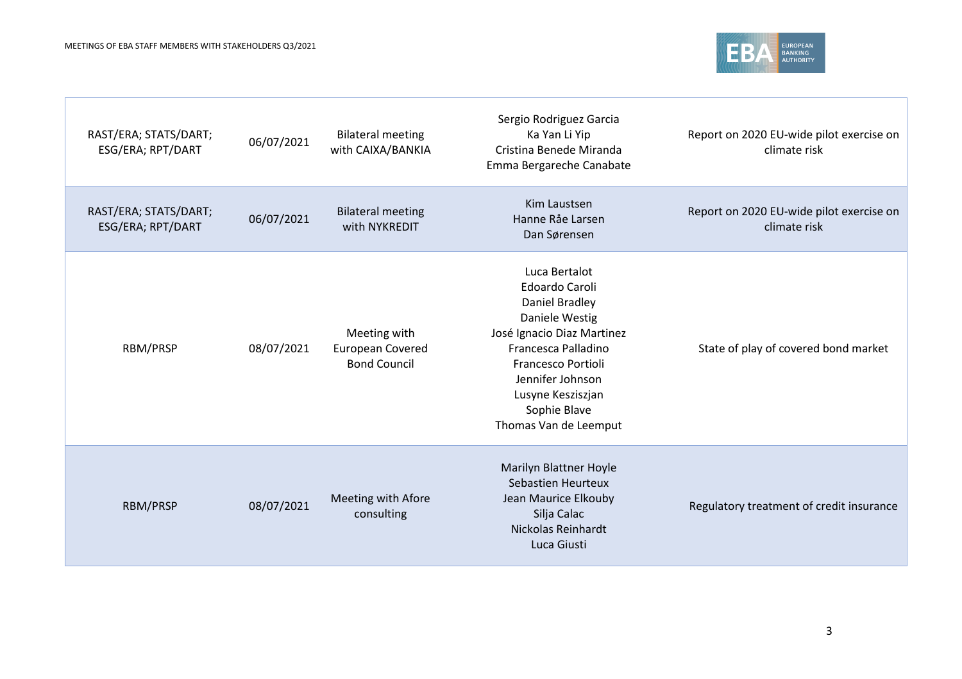

| RAST/ERA; STATS/DART;<br>ESG/ERA; RPT/DART | 06/07/2021 | <b>Bilateral meeting</b><br>with CAIXA/BANKIA           | Sergio Rodriguez Garcia<br>Ka Yan Li Yip<br>Cristina Benede Miranda<br>Emma Bergareche Canabate                                                                                                                                         | Report on 2020 EU-wide pilot exercise on<br>climate risk |
|--------------------------------------------|------------|---------------------------------------------------------|-----------------------------------------------------------------------------------------------------------------------------------------------------------------------------------------------------------------------------------------|----------------------------------------------------------|
| RAST/ERA; STATS/DART;<br>ESG/ERA; RPT/DART | 06/07/2021 | <b>Bilateral meeting</b><br>with NYKREDIT               | Kim Laustsen<br>Hanne Råe Larsen<br>Dan Sørensen                                                                                                                                                                                        | Report on 2020 EU-wide pilot exercise on<br>climate risk |
| RBM/PRSP                                   | 08/07/2021 | Meeting with<br>European Covered<br><b>Bond Council</b> | Luca Bertalot<br><b>Edoardo Caroli</b><br>Daniel Bradley<br>Daniele Westig<br>José Ignacio Diaz Martinez<br>Francesca Palladino<br>Francesco Portioli<br>Jennifer Johnson<br>Lusyne Kesziszjan<br>Sophie Blave<br>Thomas Van de Leemput | State of play of covered bond market                     |
| <b>RBM/PRSP</b>                            | 08/07/2021 | Meeting with Afore<br>consulting                        | Marilyn Blattner Hoyle<br><b>Sebastien Heurteux</b><br>Jean Maurice Elkouby<br>Silja Calac<br>Nickolas Reinhardt<br>Luca Giusti                                                                                                         | Regulatory treatment of credit insurance                 |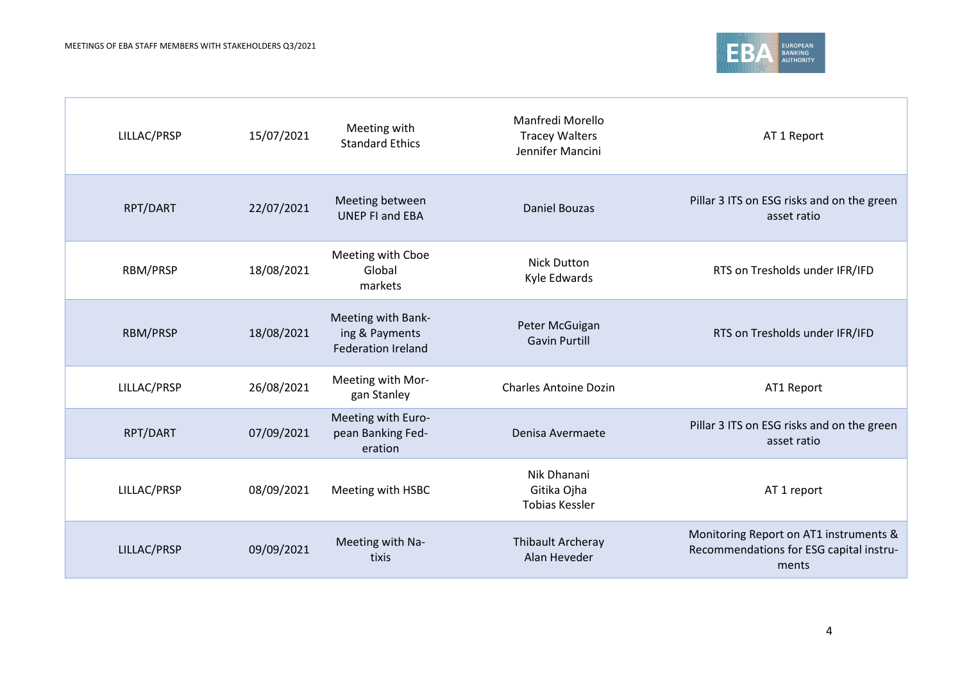

| LILLAC/PRSP | 15/07/2021 | Meeting with<br><b>Standard Ethics</b>                            | Manfredi Morello<br><b>Tracey Walters</b><br>Jennifer Mancini | AT 1 Report                                                                                |
|-------------|------------|-------------------------------------------------------------------|---------------------------------------------------------------|--------------------------------------------------------------------------------------------|
| RPT/DART    | 22/07/2021 | Meeting between<br><b>UNEP FI and EBA</b>                         | <b>Daniel Bouzas</b>                                          | Pillar 3 ITS on ESG risks and on the green<br>asset ratio                                  |
| RBM/PRSP    | 18/08/2021 | Meeting with Cboe<br>Global<br>markets                            | <b>Nick Dutton</b><br>Kyle Edwards                            | RTS on Tresholds under IFR/IFD                                                             |
| RBM/PRSP    | 18/08/2021 | Meeting with Bank-<br>ing & Payments<br><b>Federation Ireland</b> | Peter McGuigan<br><b>Gavin Purtill</b>                        | RTS on Tresholds under IFR/IFD                                                             |
| LILLAC/PRSP | 26/08/2021 | Meeting with Mor-<br>gan Stanley                                  | <b>Charles Antoine Dozin</b>                                  | AT1 Report                                                                                 |
| RPT/DART    | 07/09/2021 | Meeting with Euro-<br>pean Banking Fed-<br>eration                | Denisa Avermaete                                              | Pillar 3 ITS on ESG risks and on the green<br>asset ratio                                  |
| LILLAC/PRSP | 08/09/2021 | Meeting with HSBC                                                 | Nik Dhanani<br>Gitika Ojha<br><b>Tobias Kessler</b>           | AT 1 report                                                                                |
| LILLAC/PRSP | 09/09/2021 | Meeting with Na-<br>tixis                                         | Thibault Archeray<br>Alan Heveder                             | Monitoring Report on AT1 instruments &<br>Recommendations for ESG capital instru-<br>ments |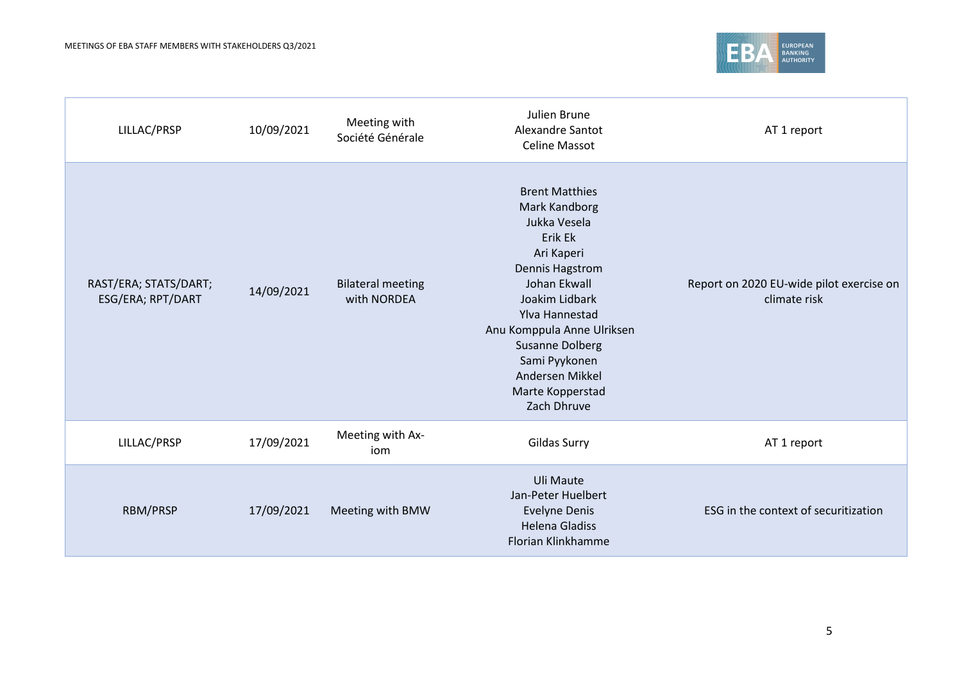

| LILLAC/PRSP                                | 10/09/2021 | Meeting with<br>Société Générale        | Julien Brune<br>Alexandre Santot<br><b>Celine Massot</b>                                                                                                                                                                                                                              | AT 1 report                                              |
|--------------------------------------------|------------|-----------------------------------------|---------------------------------------------------------------------------------------------------------------------------------------------------------------------------------------------------------------------------------------------------------------------------------------|----------------------------------------------------------|
| RAST/ERA; STATS/DART;<br>ESG/ERA; RPT/DART | 14/09/2021 | <b>Bilateral meeting</b><br>with NORDEA | <b>Brent Matthies</b><br>Mark Kandborg<br>Jukka Vesela<br>Erik Ek<br>Ari Kaperi<br>Dennis Hagstrom<br>Johan Ekwall<br>Joakim Lidbark<br>Ylva Hannestad<br>Anu Komppula Anne Ulriksen<br><b>Susanne Dolberg</b><br>Sami Pyykonen<br>Andersen Mikkel<br>Marte Kopperstad<br>Zach Dhruve | Report on 2020 EU-wide pilot exercise on<br>climate risk |
| LILLAC/PRSP                                | 17/09/2021 | Meeting with Ax-<br>iom                 | Gildas Surry                                                                                                                                                                                                                                                                          | AT 1 report                                              |
| RBM/PRSP                                   | 17/09/2021 | Meeting with BMW                        | Uli Maute<br>Jan-Peter Huelbert<br><b>Evelyne Denis</b><br><b>Helena Gladiss</b><br>Florian Klinkhamme                                                                                                                                                                                | ESG in the context of securitization                     |